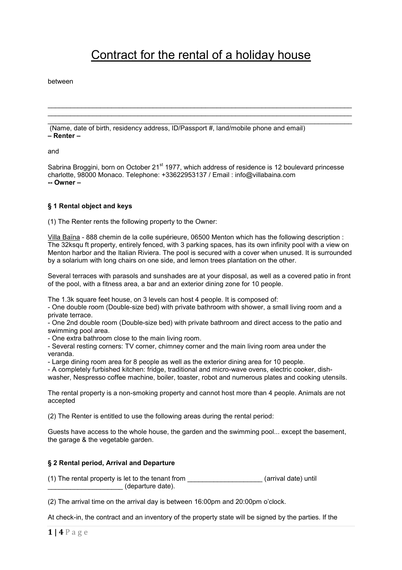# Contract for the rental of a holiday house

\_\_\_\_\_\_\_\_\_\_\_\_\_\_\_\_\_\_\_\_\_\_\_\_\_\_\_\_\_\_\_\_\_\_\_\_\_\_\_\_\_\_\_\_\_\_\_\_\_\_\_\_\_\_\_\_\_\_\_\_\_\_\_\_\_\_\_\_\_\_\_\_\_\_\_\_\_\_\_\_\_ \_\_\_\_\_\_\_\_\_\_\_\_\_\_\_\_\_\_\_\_\_\_\_\_\_\_\_\_\_\_\_\_\_\_\_\_\_\_\_\_\_\_\_\_\_\_\_\_\_\_\_\_\_\_\_\_\_\_\_\_\_\_\_\_\_\_\_\_\_\_\_\_\_\_\_\_\_\_\_\_\_

between

\_\_\_\_\_\_\_\_\_\_\_\_\_\_\_\_\_\_\_\_\_\_\_\_\_\_\_\_\_\_\_\_\_\_\_\_\_\_\_\_\_\_\_\_\_\_\_\_\_\_\_\_\_\_\_\_\_\_\_\_\_\_\_\_\_\_\_\_\_\_\_\_\_\_\_\_\_\_\_\_\_ (Name, date of birth, residency address, ID/Passport #, land/mobile phone and email) **– Renter –**

and

Sabrina Broggini, born on October 21<sup>st</sup> 1977, which address of residence is 12 boulevard princesse charlotte, 98000 Monaco. Telephone: +33622953137 / Email : info@villabaina.com **-- Owner –**

### **§ 1 Rental object and keys**

(1) The Renter rents the following property to the Owner:

Villa Baïna - 888 chemin de la colle supérieure, 06500 Menton which has the following description : The 32ksqu ft property, entirely fenced, with 3 parking spaces, has its own infinity pool with a view on Menton harbor and the Italian Riviera. The pool is secured with a cover when unused. It is surrounded by a solarium with long chairs on one side, and lemon trees plantation on the other.

Several terraces with parasols and sunshades are at your disposal, as well as a covered patio in front of the pool, with a fitness area, a bar and an exterior dining zone for 10 people.

The 1.3k square feet house, on 3 levels can host 4 people. It is composed of:

- One double room (Double-size bed) with private bathroom with shower, a small living room and a private terrace.

- One 2nd double room (Double-size bed) with private bathroom and direct access to the patio and swimming pool area.

- One extra bathroom close to the main living room.

- Several resting corners: TV corner, chimney corner and the main living room area under the veranda.

- Large dining room area for 8 people as well as the exterior dining area for 10 people.

- A completely furbished kitchen: fridge, traditional and micro-wave ovens, electric cooker, dishwasher, Nespresso coffee machine, boiler, toaster, robot and numerous plates and cooking utensils.

The rental property is a non-smoking property and cannot host more than 4 people. Animals are not accepted

(2) The Renter is entitled to use the following areas during the rental period:

Guests have access to the whole house, the garden and the swimming pool... except the basement, the garage & the vegetable garden.

### **§ 2 Rental period, Arrival and Departure**

(1) The rental property is let to the tenant from \_\_\_\_\_\_\_\_\_\_\_\_\_\_\_\_\_\_\_\_ (arrival date) until \_\_\_\_\_\_\_\_\_\_\_\_\_\_\_\_\_\_\_\_ (departure date).

(2) The arrival time on the arrival day is between 16:00pm and 20:00pm o'clock.

At check-in, the contract and an inventory of the property state will be signed by the parties. If the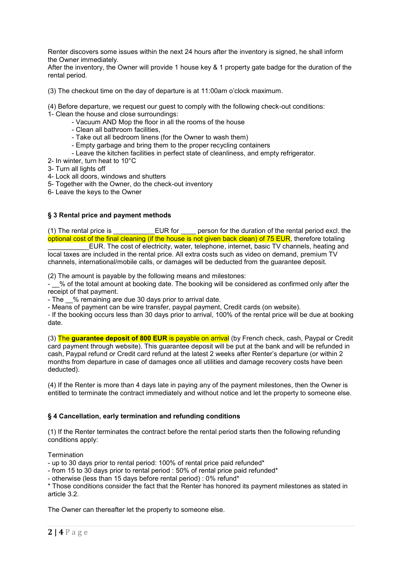Renter discovers some issues within the next 24 hours after the inventory is signed, he shall inform the Owner immediately.

After the inventory, the Owner will provide 1 house key & 1 property gate badge for the duration of the rental period.

(3) The checkout time on the day of departure is at 11:00am o'clock maximum.

(4) Before departure, we request our guest to comply with the following check-out conditions:

- 1- Clean the house and close surroundings:
	- Vacuum AND Mop the floor in all the rooms of the house
	- Clean all bathroom facilities,
	- Take out all bedroom linens (for the Owner to wash them)
	- Empty garbage and bring them to the proper recycling containers
	- Leave the kitchen facilities in perfect state of cleanliness, and empty refrigerator.
- 2- In winter, turn heat to 10°C
- 3- Turn all lights off
- 4- Lock all doors, windows and shutters
- 5- Together with the Owner, do the check-out inventory
- 6- Leave the keys to the Owner

### **§ 3 Rental price and payment methods**

(1) The rental price is \_\_\_\_\_\_\_\_\_\_\_EUR for \_\_\_\_ person for the duration of the rental period excl. the optional cost of the final cleaning (if the house is not given back clean) of 75 EUR, therefore totaling

EUR. The cost of electricity, water, telephone, internet, basic TV channels, heating and local taxes are included in the rental price. All extra costs such as video on demand, premium TV channels, international/mobile calls, or damages will be deducted from the guarantee deposit.

(2) The amount is payable by the following means and milestones:

- 6 % of the total amount at booking date. The booking will be considered as confirmed only after the receipt of that payment.

- The \_\_% remaining are due 30 days prior to arrival date.

- Means of payment can be wire transfer, paypal payment, Credit cards (on website).

*-* If the booking occurs less than 30 days prior to arrival, 100% of the rental price will be due at booking date.

(3) The **guarantee deposit of 800 EUR** is payable on arrival (by French check, cash, Paypal or Credit card payment through website). This guarantee deposit will be put at the bank and will be refunded in cash, Paypal refund or Credit card refund at the latest 2 weeks after Renter's departure (or within 2 months from departure in case of damages once all utilities and damage recovery costs have been deducted).

(4) If the Renter is more than 4 days late in paying any of the payment milestones, then the Owner is entitled to terminate the contract immediately and without notice and let the property to someone else.

#### **§ 4 Cancellation, early termination and refunding conditions**

(1) If the Renter terminates the contract before the rental period starts then the following refunding conditions apply:

**Termination** 

- up to 30 days prior to rental period: 100% of rental price paid refunded\*

- from 15 to 30 days prior to rental period : 50% of rental price paid refunded\*
- otherwise (less than 15 days before rental period) : 0% refund\*

\* Those conditions consider the fact that the Renter has honored its payment milestones as stated in article 3.2.

The Owner can thereafter let the property to someone else.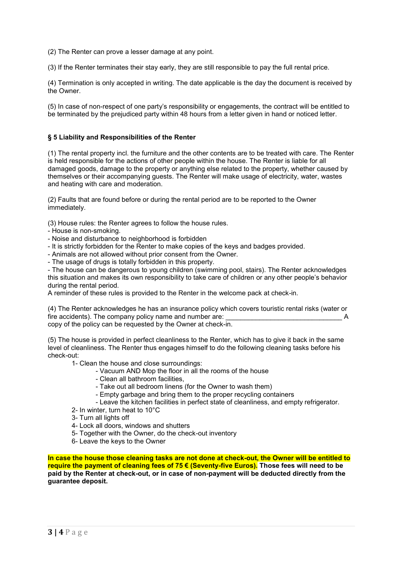(2) The Renter can prove a lesser damage at any point.

(3) If the Renter terminates their stay early, they are still responsible to pay the full rental price.

(4) Termination is only accepted in writing. The date applicable is the day the document is received by the Owner.

(5) In case of non-respect of one party's responsibility or engagements, the contract will be entitled to be terminated by the prejudiced party within 48 hours from a letter given in hand or noticed letter.

# **§ 5 Liability and Responsibilities of the Renter**

(1) The rental property incl. the furniture and the other contents are to be treated with care. The Renter is held responsible for the actions of other people within the house. The Renter is liable for all damaged goods, damage to the property or anything else related to the property, whether caused by themselves or their accompanying guests. The Renter will make usage of electricity, water, wastes and heating with care and moderation.

(2) Faults that are found before or during the rental period are to be reported to the Owner immediately.

(3) House rules: the Renter agrees to follow the house rules.

- House is non-smoking.
- Noise and disturbance to neighborhood is forbidden
- It is strictly forbidden for the Renter to make copies of the keys and badges provided.
- Animals are not allowed without prior consent from the Owner.
- The usage of drugs is totally forbidden in this property.

- The house can be dangerous to young children (swimming pool, stairs). The Renter acknowledges this situation and makes its own responsibility to take care of children or any other people's behavior during the rental period.

A reminder of these rules is provided to the Renter in the welcome pack at check-in.

(4) The Renter acknowledges he has an insurance policy which covers touristic rental risks (water or fire accidents). The company policy name and number are: copy of the policy can be requested by the Owner at check-in.

(5) The house is provided in perfect cleanliness to the Renter, which has to give it back in the same level of cleanliness. The Renter thus engages himself to do the following cleaning tasks before his check-out:

- 1- Clean the house and close surroundings:
	- Vacuum AND Mop the floor in all the rooms of the house
	- Clean all bathroom facilities,
	- Take out all bedroom linens (for the Owner to wash them)
	- Empty garbage and bring them to the proper recycling containers
	- Leave the kitchen facilities in perfect state of cleanliness, and empty refrigerator.
- 2- In winter, turn heat to 10°C
- 3- Turn all lights off
- 4- Lock all doors, windows and shutters
- 5- Together with the Owner, do the check-out inventory
- 6- Leave the keys to the Owner

**In case the house those cleaning tasks are not done at check-out, the Owner will be entitled to require the payment of cleaning fees of 75 € (Seventy-five Euros). Those fees will need to be paid by the Renter at check-out, or in case of non-payment will be deducted directly from the guarantee deposit.**